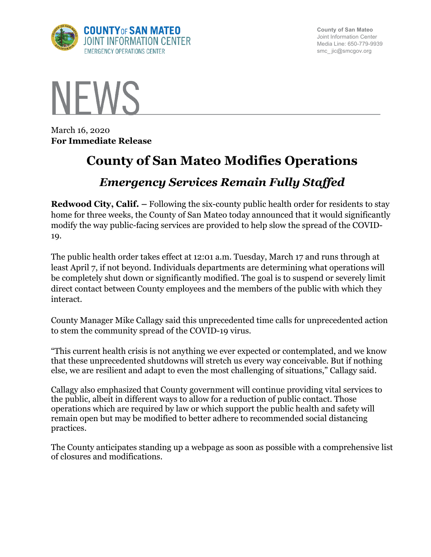

**County of San Mateo** Joint Information Center Media Line: 650-779-9939 smc\_ jic@smcgov.org



March 16, 2020 **For Immediate Release**

## **County of San Mateo Modifies Operations**

## *Emergency Services Remain Fully Staffed*

**Redwood City, Calif.** – Following the six-county public health order for residents to stay home for three weeks, the County of San Mateo today announced that it would significantly modify the way public-facing services are provided to help slow the spread of the COVID-19.

The public health order takes effect at 12:01 a.m. Tuesday, March 17 and runs through at least April 7, if not beyond. Individuals departments are determining what operations will be completely shut down or significantly modified. The goal is to suspend or severely limit direct contact between County employees and the members of the public with which they interact.

County Manager Mike Callagy said this unprecedented time calls for unprecedented action to stem the community spread of the COVID-19 virus.

"This current health crisis is not anything we ever expected or contemplated, and we know that these unprecedented shutdowns will stretch us every way conceivable. But if nothing else, we are resilient and adapt to even the most challenging of situations," Callagy said.

Callagy also emphasized that County government will continue providing vital services to the public, albeit in different ways to allow for a reduction of public contact. Those operations which are required by law or which support the public health and safety will remain open but may be modified to better adhere to recommended social distancing practices.

The County anticipates standing up a webpage as soon as possible with a comprehensive list of closures and modifications.